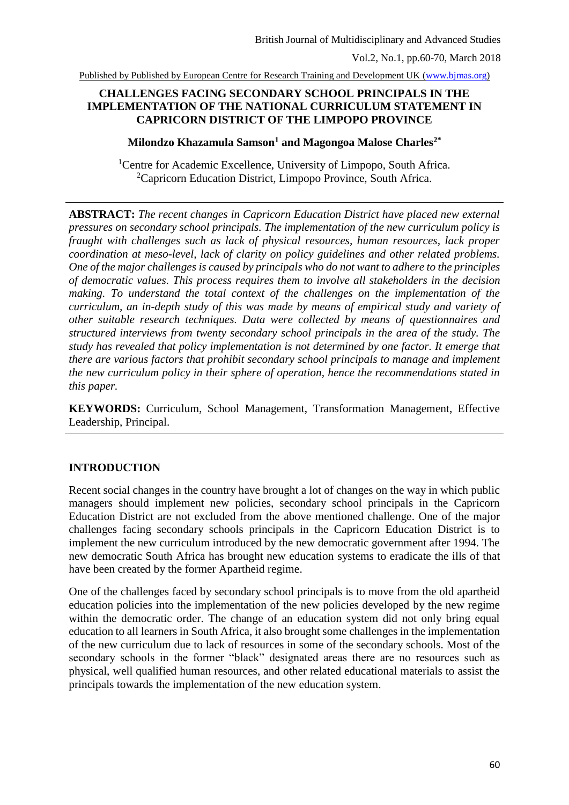### **CHALLENGES FACING SECONDARY SCHOOL PRINCIPALS IN THE IMPLEMENTATION OF THE NATIONAL CURRICULUM STATEMENT IN CAPRICORN DISTRICT OF THE LIMPOPO PROVINCE**

### **Milondzo Khazamula Samson<sup>1</sup> and Magongoa Malose Charles2\***

<sup>1</sup>Centre for Academic Excellence, University of Limpopo, South Africa. <sup>2</sup>Capricorn Education District, Limpopo Province, South Africa.

**ABSTRACT:** *The recent changes in Capricorn Education District have placed new external pressures on secondary school principals. The implementation of the new curriculum policy is fraught with challenges such as lack of physical resources, human resources, lack proper coordination at meso-level, lack of clarity on policy guidelines and other related problems. One of the major challenges is caused by principals who do not want to adhere to the principles of democratic values. This process requires them to involve all stakeholders in the decision making. To understand the total context of the challenges on the implementation of the curriculum, an in-depth study of this was made by means of empirical study and variety of other suitable research techniques. Data were collected by means of questionnaires and structured interviews from twenty secondary school principals in the area of the study. The study has revealed that policy implementation is not determined by one factor. It emerge that there are various factors that prohibit secondary school principals to manage and implement the new curriculum policy in their sphere of operation, hence the recommendations stated in this paper.*

**KEYWORDS:** Curriculum, School Management, Transformation Management, Effective Leadership, Principal.

## **INTRODUCTION**

Recent social changes in the country have brought a lot of changes on the way in which public managers should implement new policies, secondary school principals in the Capricorn Education District are not excluded from the above mentioned challenge. One of the major challenges facing secondary schools principals in the Capricorn Education District is to implement the new curriculum introduced by the new democratic government after 1994. The new democratic South Africa has brought new education systems to eradicate the ills of that have been created by the former Apartheid regime.

One of the challenges faced by secondary school principals is to move from the old apartheid education policies into the implementation of the new policies developed by the new regime within the democratic order. The change of an education system did not only bring equal education to all learners in South Africa, it also brought some challenges in the implementation of the new curriculum due to lack of resources in some of the secondary schools. Most of the secondary schools in the former "black" designated areas there are no resources such as physical, well qualified human resources, and other related educational materials to assist the principals towards the implementation of the new education system.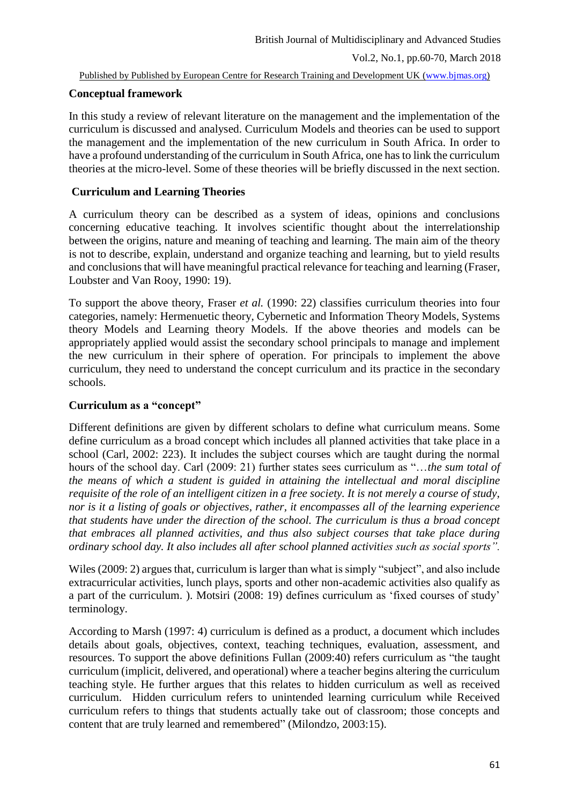## **Conceptual framework**

In this study a review of relevant literature on the management and the implementation of the curriculum is discussed and analysed. Curriculum Models and theories can be used to support the management and the implementation of the new curriculum in South Africa. In order to have a profound understanding of the curriculum in South Africa, one has to link the curriculum theories at the micro-level. Some of these theories will be briefly discussed in the next section.

## **Curriculum and Learning Theories**

A curriculum theory can be described as a system of ideas, opinions and conclusions concerning educative teaching. It involves scientific thought about the interrelationship between the origins, nature and meaning of teaching and learning. The main aim of the theory is not to describe, explain, understand and organize teaching and learning, but to yield results and conclusions that will have meaningful practical relevance for teaching and learning (Fraser, Loubster and Van Rooy, 1990: 19).

To support the above theory, Fraser *et al.* (1990: 22) classifies curriculum theories into four categories, namely: Hermenuetic theory, Cybernetic and Information Theory Models, Systems theory Models and Learning theory Models. If the above theories and models can be appropriately applied would assist the secondary school principals to manage and implement the new curriculum in their sphere of operation. For principals to implement the above curriculum, they need to understand the concept curriculum and its practice in the secondary schools.

## **Curriculum as a "concept"**

Different definitions are given by different scholars to define what curriculum means. Some define curriculum as a broad concept which includes all planned activities that take place in a school (Carl, 2002: 223). It includes the subject courses which are taught during the normal hours of the school day. Carl (2009: 21) further states sees curriculum as "…*the sum total of the means of which a student is guided in attaining the intellectual and moral discipline requisite of the role of an intelligent citizen in a free society. It is not merely a course of study, nor is it a listing of goals or objectives, rather, it encompasses all of the learning experience that students have under the direction of the school. The curriculum is thus a broad concept that embraces all planned activities, and thus also subject courses that take place during ordinary school day. It also includes all after school planned activities such as social sports".*

Wiles (2009: 2) argues that, curriculum is larger than what is simply "subject", and also include extracurricular activities, lunch plays, sports and other non-academic activities also qualify as a part of the curriculum. ). Motsiri (2008: 19) defines curriculum as 'fixed courses of study' terminology.

According to Marsh (1997: 4) curriculum is defined as a product, a document which includes details about goals, objectives, context, teaching techniques, evaluation, assessment, and resources. To support the above definitions Fullan (2009:40) refers curriculum as "the taught curriculum (implicit, delivered, and operational) where a teacher begins altering the curriculum teaching style. He further argues that this relates to hidden curriculum as well as received curriculum. Hidden curriculum refers to unintended learning curriculum while Received curriculum refers to things that students actually take out of classroom; those concepts and content that are truly learned and remembered" (Milondzo, 2003:15).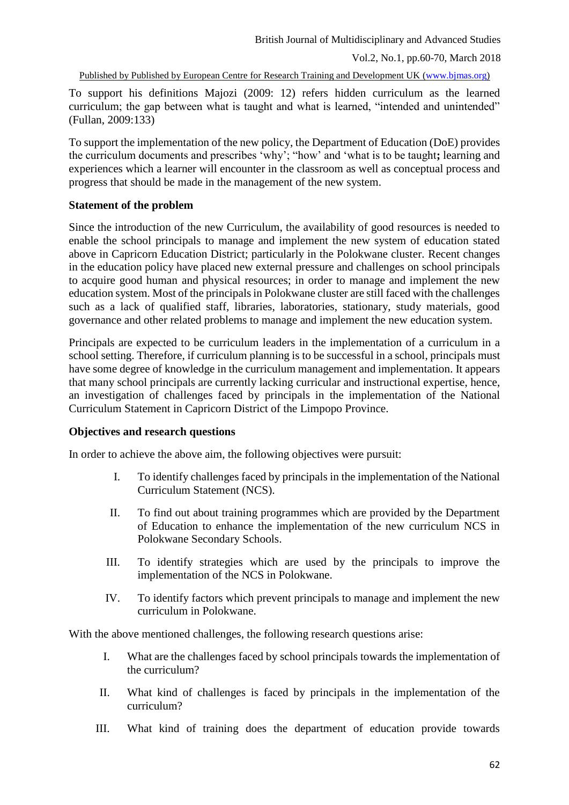To support his definitions Majozi (2009: 12) refers hidden curriculum as the learned curriculum; the gap between what is taught and what is learned, "intended and unintended" (Fullan, 2009:133)

To support the implementation of the new policy, the Department of Education (DoE) provides the curriculum documents and prescribes 'why'; "how' and 'what is to be taught**;** learning and experiences which a learner will encounter in the classroom as well as conceptual process and progress that should be made in the management of the new system.

### **Statement of the problem**

Since the introduction of the new Curriculum, the availability of good resources is needed to enable the school principals to manage and implement the new system of education stated above in Capricorn Education District; particularly in the Polokwane cluster. Recent changes in the education policy have placed new external pressure and challenges on school principals to acquire good human and physical resources; in order to manage and implement the new education system. Most of the principals in Polokwane cluster are still faced with the challenges such as a lack of qualified staff, libraries, laboratories, stationary, study materials, good governance and other related problems to manage and implement the new education system.

Principals are expected to be curriculum leaders in the implementation of a curriculum in a school setting. Therefore, if curriculum planning is to be successful in a school, principals must have some degree of knowledge in the curriculum management and implementation. It appears that many school principals are currently lacking curricular and instructional expertise, hence, an investigation of challenges faced by principals in the implementation of the National Curriculum Statement in Capricorn District of the Limpopo Province.

### **Objectives and research questions**

In order to achieve the above aim, the following objectives were pursuit:

- I. To identify challenges faced by principals in the implementation of the National Curriculum Statement (NCS).
- II. To find out about training programmes which are provided by the Department of Education to enhance the implementation of the new curriculum NCS in Polokwane Secondary Schools.
- III. To identify strategies which are used by the principals to improve the implementation of the NCS in Polokwane.
- IV. To identify factors which prevent principals to manage and implement the new curriculum in Polokwane.

With the above mentioned challenges, the following research questions arise:

- I. What are the challenges faced by school principals towards the implementation of the curriculum?
- II. What kind of challenges is faced by principals in the implementation of the curriculum?
- III. What kind of training does the department of education provide towards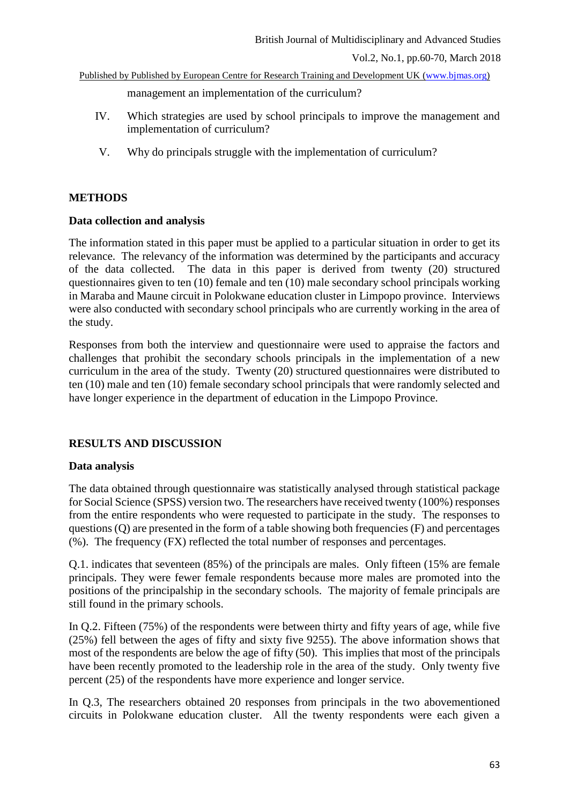management an implementation of the curriculum?

- IV. Which strategies are used by school principals to improve the management and implementation of curriculum?
- V. Why do principals struggle with the implementation of curriculum?

### **METHODS**

### **Data collection and analysis**

The information stated in this paper must be applied to a particular situation in order to get its relevance. The relevancy of the information was determined by the participants and accuracy of the data collected. The data in this paper is derived from twenty (20) structured questionnaires given to ten (10) female and ten (10) male secondary school principals working in Maraba and Maune circuit in Polokwane education cluster in Limpopo province. Interviews were also conducted with secondary school principals who are currently working in the area of the study.

Responses from both the interview and questionnaire were used to appraise the factors and challenges that prohibit the secondary schools principals in the implementation of a new curriculum in the area of the study. Twenty (20) structured questionnaires were distributed to ten (10) male and ten (10) female secondary school principals that were randomly selected and have longer experience in the department of education in the Limpopo Province.

## **RESULTS AND DISCUSSION**

## **Data analysis**

The data obtained through questionnaire was statistically analysed through statistical package for Social Science (SPSS) version two. The researchers have received twenty (100%) responses from the entire respondents who were requested to participate in the study. The responses to questions (Q) are presented in the form of a table showing both frequencies (F) and percentages (%). The frequency (FX) reflected the total number of responses and percentages.

Q.1. indicates that seventeen (85%) of the principals are males. Only fifteen (15% are female principals. They were fewer female respondents because more males are promoted into the positions of the principalship in the secondary schools. The majority of female principals are still found in the primary schools.

In Q.2. Fifteen (75%) of the respondents were between thirty and fifty years of age, while five (25%) fell between the ages of fifty and sixty five 9255). The above information shows that most of the respondents are below the age of fifty (50). This implies that most of the principals have been recently promoted to the leadership role in the area of the study. Only twenty five percent (25) of the respondents have more experience and longer service.

In Q.3, The researchers obtained 20 responses from principals in the two abovementioned circuits in Polokwane education cluster. All the twenty respondents were each given a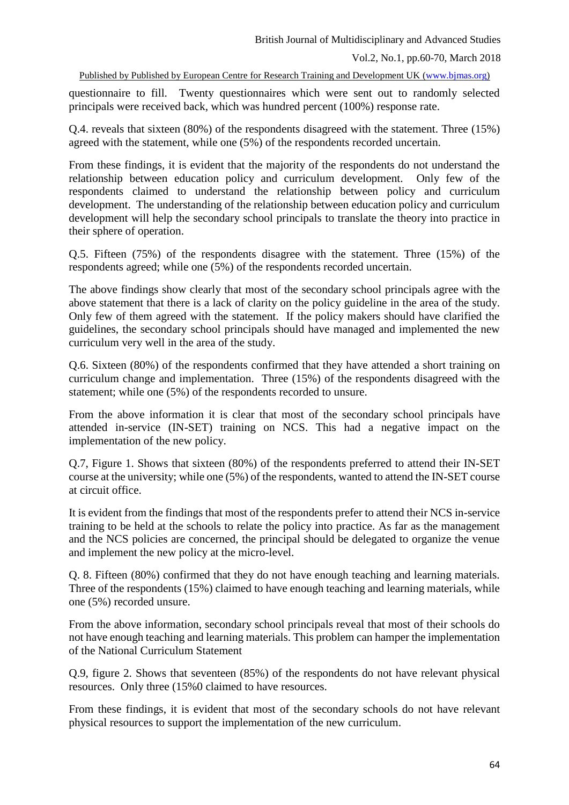questionnaire to fill. Twenty questionnaires which were sent out to randomly selected principals were received back, which was hundred percent (100%) response rate.

Q.4. reveals that sixteen (80%) of the respondents disagreed with the statement. Three (15%) agreed with the statement, while one (5%) of the respondents recorded uncertain.

From these findings, it is evident that the majority of the respondents do not understand the relationship between education policy and curriculum development. Only few of the respondents claimed to understand the relationship between policy and curriculum development. The understanding of the relationship between education policy and curriculum development will help the secondary school principals to translate the theory into practice in their sphere of operation.

Q.5. Fifteen (75%) of the respondents disagree with the statement. Three (15%) of the respondents agreed; while one (5%) of the respondents recorded uncertain.

The above findings show clearly that most of the secondary school principals agree with the above statement that there is a lack of clarity on the policy guideline in the area of the study. Only few of them agreed with the statement. If the policy makers should have clarified the guidelines, the secondary school principals should have managed and implemented the new curriculum very well in the area of the study.

Q.6. Sixteen (80%) of the respondents confirmed that they have attended a short training on curriculum change and implementation. Three (15%) of the respondents disagreed with the statement; while one (5%) of the respondents recorded to unsure.

From the above information it is clear that most of the secondary school principals have attended in-service (IN-SET) training on NCS. This had a negative impact on the implementation of the new policy.

Q.7, Figure 1. Shows that sixteen (80%) of the respondents preferred to attend their IN-SET course at the university; while one (5%) of the respondents, wanted to attend the IN-SET course at circuit office.

It is evident from the findings that most of the respondents prefer to attend their NCS in-service training to be held at the schools to relate the policy into practice. As far as the management and the NCS policies are concerned, the principal should be delegated to organize the venue and implement the new policy at the micro-level.

Q. 8. Fifteen (80%) confirmed that they do not have enough teaching and learning materials. Three of the respondents (15%) claimed to have enough teaching and learning materials, while one (5%) recorded unsure.

From the above information, secondary school principals reveal that most of their schools do not have enough teaching and learning materials. This problem can hamper the implementation of the National Curriculum Statement

Q.9, figure 2. Shows that seventeen (85%) of the respondents do not have relevant physical resources. Only three (15%0 claimed to have resources.

From these findings, it is evident that most of the secondary schools do not have relevant physical resources to support the implementation of the new curriculum.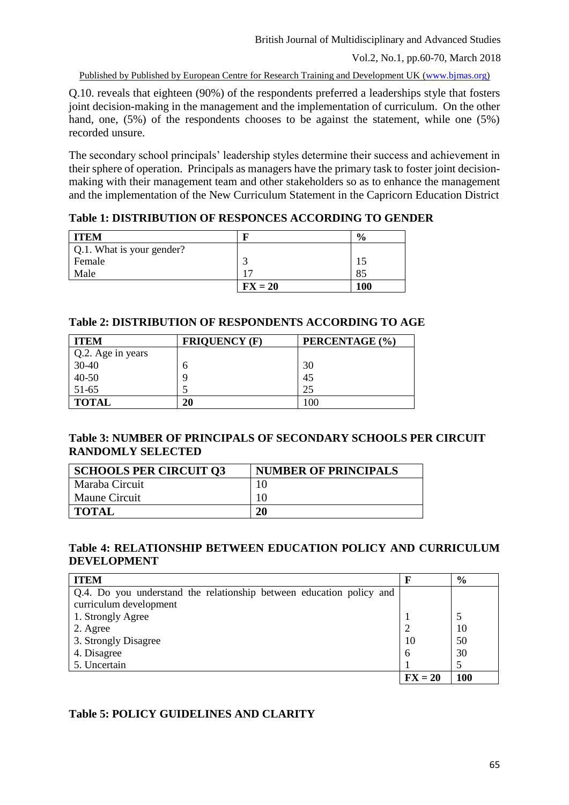Q.10. reveals that eighteen (90%) of the respondents preferred a leaderships style that fosters joint decision-making in the management and the implementation of curriculum. On the other hand, one, (5%) of the respondents chooses to be against the statement, while one (5%) recorded unsure.

The secondary school principals' leadership styles determine their success and achievement in their sphere of operation. Principals as managers have the primary task to foster joint decisionmaking with their management team and other stakeholders so as to enhance the management and the implementation of the New Curriculum Statement in the Capricorn Education District

### **Table 1: DISTRIBUTION OF RESPONCES ACCORDING TO GENDER**

| <b>ITEM</b>               |           | $\frac{0}{0}$ |
|---------------------------|-----------|---------------|
| Q.1. What is your gender? |           |               |
| Female                    |           |               |
| Male                      |           | 85            |
|                           | $FX = 20$ | 100           |

### **Table 2: DISTRIBUTION OF RESPONDENTS ACCORDING TO AGE**

| <b>ITEM</b>       | <b>FRIQUENCY (F)</b> | PERCENTAGE (%) |
|-------------------|----------------------|----------------|
| Q.2. Age in years |                      |                |
| $30-40$           | n                    | 30             |
| $40 - 50$         |                      | 45             |
| 51-65             |                      | 25             |
| <b>TOTAL</b>      | 20                   | 100            |

### **Table 3: NUMBER OF PRINCIPALS OF SECONDARY SCHOOLS PER CIRCUIT RANDOMLY SELECTED**

| <b>SCHOOLS PER CIRCUIT 03</b> | <b>NUMBER OF PRINCIPALS</b> |
|-------------------------------|-----------------------------|
| Maraba Circuit                |                             |
| <b>Maune Circuit</b>          |                             |
| TOTAL                         | 20                          |

### **Table 4: RELATIONSHIP BETWEEN EDUCATION POLICY AND CURRICULUM DEVELOPMENT**

| <b>ITEM</b>                                                          |           | $\frac{6}{6}$ |
|----------------------------------------------------------------------|-----------|---------------|
| Q.4. Do you understand the relationship between education policy and |           |               |
| curriculum development                                               |           |               |
| 1. Strongly Agree                                                    |           |               |
| 2. Agree                                                             |           | 10            |
| 3. Strongly Disagree                                                 | 10        | 50            |
| 4. Disagree                                                          | $\theta$  | 30            |
| 5. Uncertain                                                         |           |               |
|                                                                      | $FX = 20$ | 100           |

## **Table 5: POLICY GUIDELINES AND CLARITY**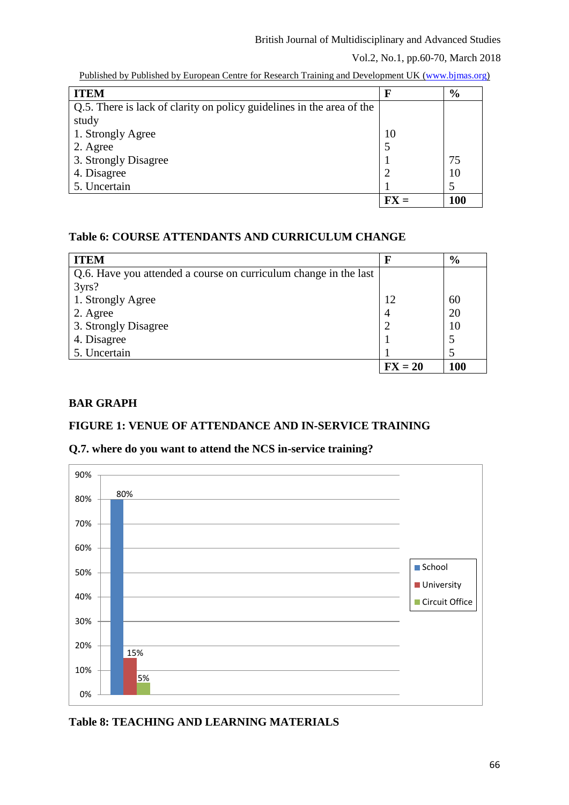### Vol.2, No.1, pp.60-70, March 2018

| <b>ITEM</b>                                                           | F  | $\frac{6}{9}$ |
|-----------------------------------------------------------------------|----|---------------|
| Q.5. There is lack of clarity on policy guidelines in the area of the |    |               |
| study                                                                 |    |               |
| 1. Strongly Agree                                                     | 10 |               |
| 2. Agree                                                              |    |               |
| 3. Strongly Disagree                                                  |    | 75            |
| 4. Disagree                                                           |    | 10            |
| 5. Uncertain                                                          |    |               |
|                                                                       | FY | <b>100</b>    |

Published by Published by European Centre for Research Training and Development UK (www.bjmas.org)

## **Table 6: COURSE ATTENDANTS AND CURRICULUM CHANGE**

| <b>ITEM</b>                                                      |           | $\frac{6}{9}$ |
|------------------------------------------------------------------|-----------|---------------|
| Q.6. Have you attended a course on curriculum change in the last |           |               |
| 3yrs?                                                            |           |               |
| 1. Strongly Agree                                                | 12        | 60            |
| 2. Agree                                                         |           | 20            |
| 3. Strongly Disagree                                             |           | 10            |
| 4. Disagree                                                      |           |               |
| 5. Uncertain                                                     |           |               |
|                                                                  | $FX = 20$ | 100           |

# **BAR GRAPH**

## **FIGURE 1: VENUE OF ATTENDANCE AND IN-SERVICE TRAINING**

## **Q.7. where do you want to attend the NCS in-service training?**



**Table 8: TEACHING AND LEARNING MATERIALS**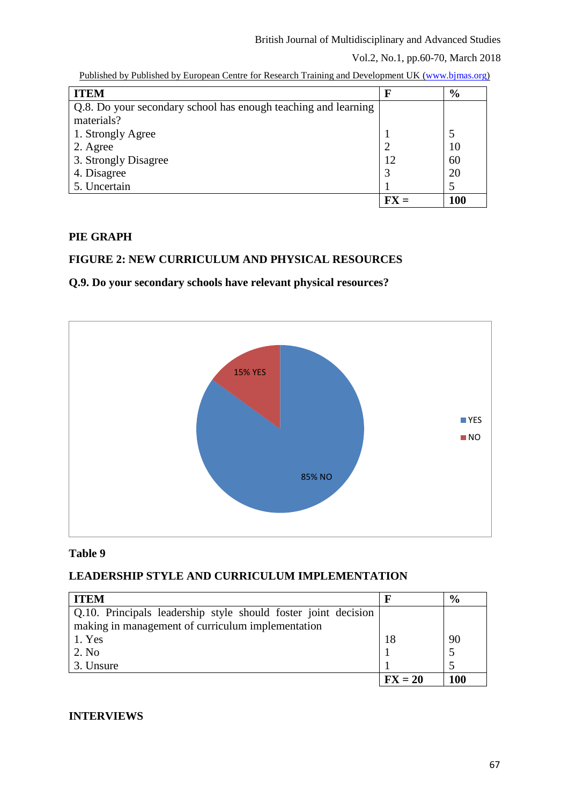### Vol.2, No.1, pp.60-70, March 2018

| <b>ITEM</b>                                                    | F | $\frac{6}{9}$ |
|----------------------------------------------------------------|---|---------------|
| Q.8. Do your secondary school has enough teaching and learning |   |               |
| materials?                                                     |   |               |
| 1. Strongly Agree                                              |   |               |
| 2. Agree                                                       |   | 10            |
| 3. Strongly Disagree                                           |   | 60            |
| 4. Disagree                                                    | 3 | 20            |
| 5. Uncertain                                                   |   |               |
|                                                                |   | 100           |

Published by Published by European Centre for Research Training and Development UK (www.bjmas.org)

## **PIE GRAPH**

## **FIGURE 2: NEW CURRICULUM AND PHYSICAL RESOURCES**

# **Q.9. Do your secondary schools have relevant physical resources?**



### **Table 9**

## **LEADERSHIP STYLE AND CURRICULUM IMPLEMENTATION**

| <b>ITEM</b>                                                    |           | $\frac{6}{6}$ |
|----------------------------------------------------------------|-----------|---------------|
| Q.10. Principals leadership style should foster joint decision |           |               |
| making in management of curriculum implementation              |           |               |
| 1. Yes                                                         | 18        | 90            |
| 2. No                                                          |           |               |
| 3. Unsure                                                      |           |               |
|                                                                | $FX = 20$ | 100           |

## **INTERVIEWS**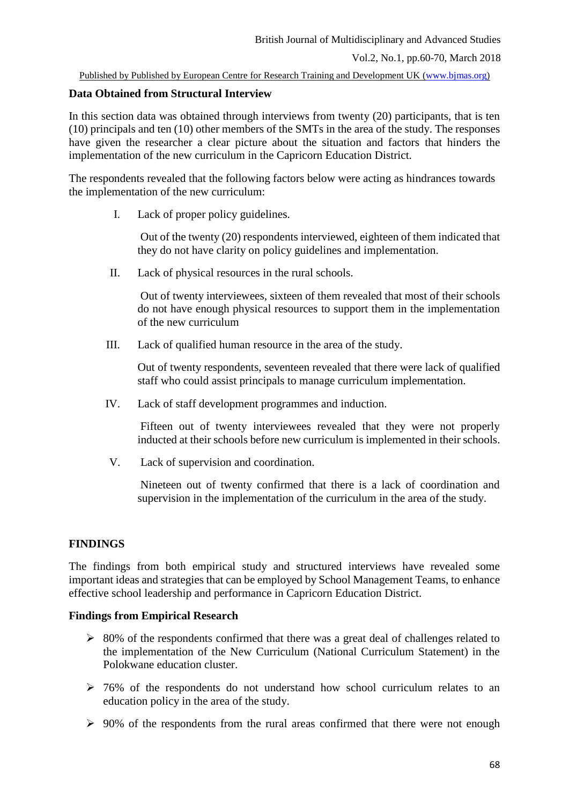### **Data Obtained from Structural Interview**

In this section data was obtained through interviews from twenty (20) participants, that is ten (10) principals and ten (10) other members of the SMTs in the area of the study. The responses have given the researcher a clear picture about the situation and factors that hinders the implementation of the new curriculum in the Capricorn Education District.

The respondents revealed that the following factors below were acting as hindrances towards the implementation of the new curriculum:

I. Lack of proper policy guidelines.

Out of the twenty (20) respondents interviewed, eighteen of them indicated that they do not have clarity on policy guidelines and implementation.

II. Lack of physical resources in the rural schools.

Out of twenty interviewees, sixteen of them revealed that most of their schools do not have enough physical resources to support them in the implementation of the new curriculum

III. Lack of qualified human resource in the area of the study.

Out of twenty respondents, seventeen revealed that there were lack of qualified staff who could assist principals to manage curriculum implementation.

IV. Lack of staff development programmes and induction.

Fifteen out of twenty interviewees revealed that they were not properly inducted at their schools before new curriculum is implemented in their schools.

V. Lack of supervision and coordination.

Nineteen out of twenty confirmed that there is a lack of coordination and supervision in the implementation of the curriculum in the area of the study.

### **FINDINGS**

The findings from both empirical study and structured interviews have revealed some important ideas and strategies that can be employed by School Management Teams, to enhance effective school leadership and performance in Capricorn Education District.

### **Findings from Empirical Research**

- $\geq$  80% of the respondents confirmed that there was a great deal of challenges related to the implementation of the New Curriculum (National Curriculum Statement) in the Polokwane education cluster.
- $\geq$  76% of the respondents do not understand how school curriculum relates to an education policy in the area of the study.
- $\geq 90\%$  of the respondents from the rural areas confirmed that there were not enough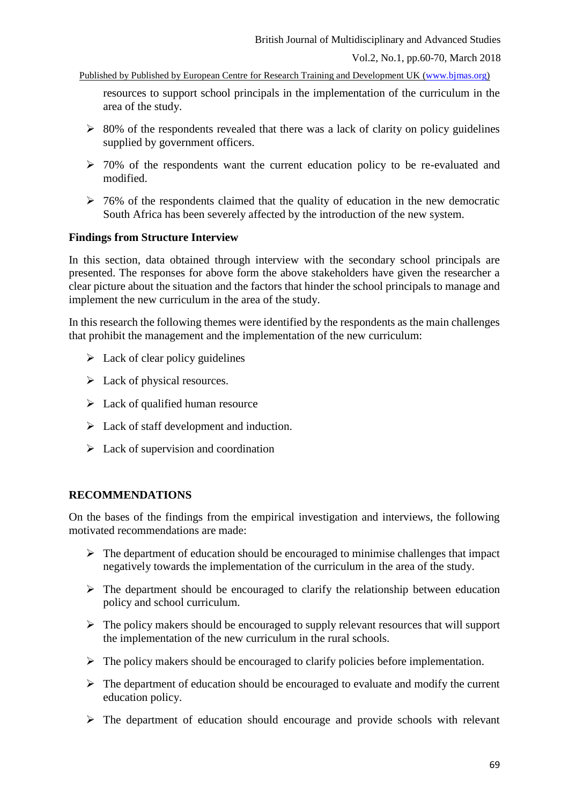resources to support school principals in the implementation of the curriculum in the area of the study.

- $\geq$  80% of the respondents revealed that there was a lack of clarity on policy guidelines supplied by government officers.
- $\geq 70\%$  of the respondents want the current education policy to be re-evaluated and modified.
- $\geq$  76% of the respondents claimed that the quality of education in the new democratic South Africa has been severely affected by the introduction of the new system.

### **Findings from Structure Interview**

In this section, data obtained through interview with the secondary school principals are presented. The responses for above form the above stakeholders have given the researcher a clear picture about the situation and the factors that hinder the school principals to manage and implement the new curriculum in the area of the study.

In this research the following themes were identified by the respondents as the main challenges that prohibit the management and the implementation of the new curriculum:

- $\triangleright$  Lack of clear policy guidelines
- $\triangleright$  Lack of physical resources.
- $\triangleright$  Lack of qualified human resource
- $\triangleright$  Lack of staff development and induction.
- $\triangleright$  Lack of supervision and coordination

## **RECOMMENDATIONS**

On the bases of the findings from the empirical investigation and interviews, the following motivated recommendations are made:

- $\triangleright$  The department of education should be encouraged to minimise challenges that impact negatively towards the implementation of the curriculum in the area of the study.
- $\triangleright$  The department should be encouraged to clarify the relationship between education policy and school curriculum.
- $\triangleright$  The policy makers should be encouraged to supply relevant resources that will support the implementation of the new curriculum in the rural schools.
- $\triangleright$  The policy makers should be encouraged to clarify policies before implementation.
- $\triangleright$  The department of education should be encouraged to evaluate and modify the current education policy.
- $\triangleright$  The department of education should encourage and provide schools with relevant